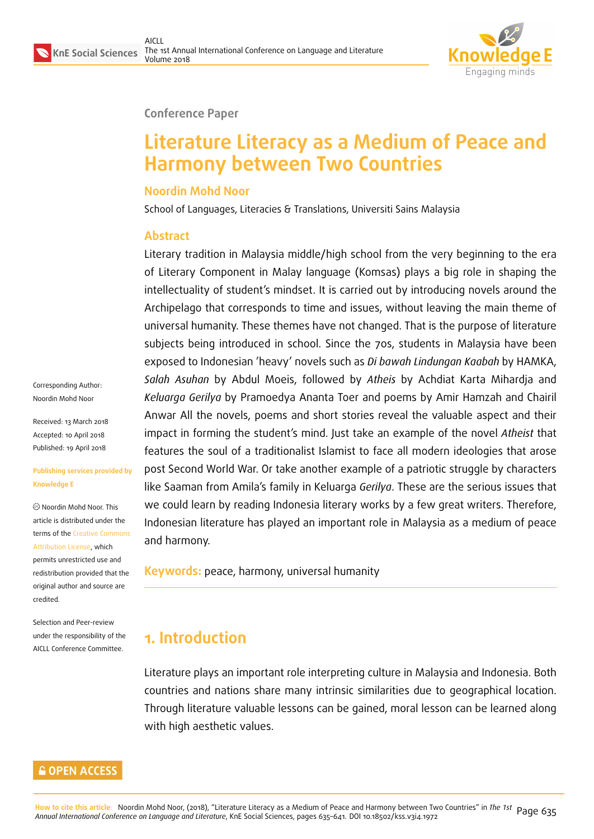

#### **Conference Paper**

# **Literature Literacy as a Medium of Peace and Harmony between Two Countries**

### **Noordin Mohd Noor**

School of Languages, Literacies & Translations, Universiti Sains Malaysia

### **Abstract**

Literary tradition in Malaysia middle/high school from the very beginning to the era of Literary Component in Malay language (Komsas) plays a big role in shaping the intellectuality of student's mindset. It is carried out by introducing novels around the Archipelago that corresponds to time and issues, without leaving the main theme of universal humanity. These themes have not changed. That is the purpose of literature subjects being introduced in school. Since the 70s, students in Malaysia have been exposed to Indonesian 'heavy' novels such as *Di bawah Lindungan Kaabah* by HAMKA, *Salah Asuhan* by Abdul Moeis, followed by *Atheis* by Achdiat Karta Mihardja and *Keluarga Gerilya* by Pramoedya Ananta Toer and poems by Amir Hamzah and Chairil Anwar All the novels, poems and short stories reveal the valuable aspect and their impact in forming the student's mind. Just take an example of the novel *Atheist* that features the soul of a traditionalist Islamist to face all modern ideologies that arose post Second World War. Or take another example of a patriotic struggle by characters like Saaman from Amila's family in Keluarga *Gerilya*. These are the serious issues that we could learn by reading Indonesia literary works by a few great writers. Therefore, Indonesian literature has played an important role in Malaysia as a medium of peace and harmony.

**Keywords:** peace, harmony, universal humanity

## **1. Introduction**

Literature plays an important role interpreting culture in Malaysia and Indonesia. Both countries and nations share many intrinsic similarities due to geographical location. Through literature valuable lessons can be gained, moral lesson can be learned along with high aesthetic values.

Corresponding Author: Noordin Mohd Noor

Received: 13 March 2018 Accepted: 10 April 2018 Published: 19 April 2018

#### **Publishing services provided by Knowledge E**

Noordin Mohd Noor. This article is distributed under the terms of the Creative Commons Attribution License, which permits unrestricted use and redistribution provided that the original auth[or and source are](https://creativecommons.org/licenses/by/4.0/) [credited.](https://creativecommons.org/licenses/by/4.0/)

Selection and Peer-review under the responsibility of the AICLL Conference Committee.

#### **GOPEN ACCESS**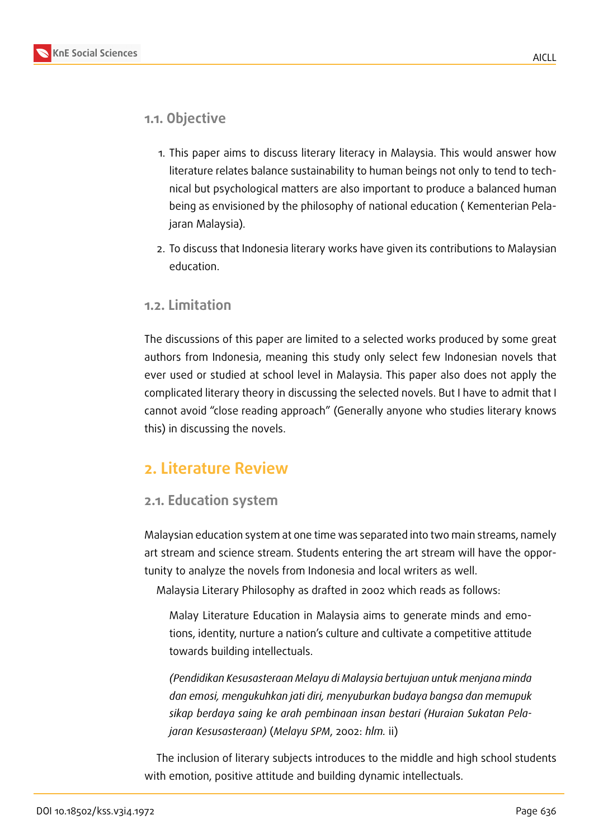



### **1.1. Objective**

- 1. This paper aims to discuss literary literacy in Malaysia. This would answer how literature relates balance sustainability to human beings not only to tend to technical but psychological matters are also important to produce a balanced human being as envisioned by the philosophy of national education ( Kementerian Pelajaran Malaysia).
- 2. To discuss that Indonesia literary works have given its contributions to Malaysian education.

### **1.2. Limitation**

The discussions of this paper are limited to a selected works produced by some great authors from Indonesia, meaning this study only select few Indonesian novels that ever used or studied at school level in Malaysia. This paper also does not apply the complicated literary theory in discussing the selected novels. But I have to admit that I cannot avoid "close reading approach" (Generally anyone who studies literary knows this) in discussing the novels.

### **2. Literature Review**

### **2.1. Education system**

Malaysian education system at one time was separated into two main streams, namely art stream and science stream. Students entering the art stream will have the opportunity to analyze the novels from Indonesia and local writers as well.

Malaysia Literary Philosophy as drafted in 2002 which reads as follows:

Malay Literature Education in Malaysia aims to generate minds and emotions, identity, nurture a nation's culture and cultivate a competitive attitude towards building intellectuals.

*(Pendidikan Kesusasteraan Melayu di Malaysia bertujuan untuk menjana minda dan emosi, mengukuhkan jati diri, menyuburkan budaya bangsa dan memupuk sikap berdaya saing ke arah pembinaan insan bestari (Huraian Sukatan Pelajaran Kesusasteraan)* (*Melayu SPM*, 2002: *hlm.* ii)

The inclusion of literary subjects introduces to the middle and high school students with emotion, positive attitude and building dynamic intellectuals.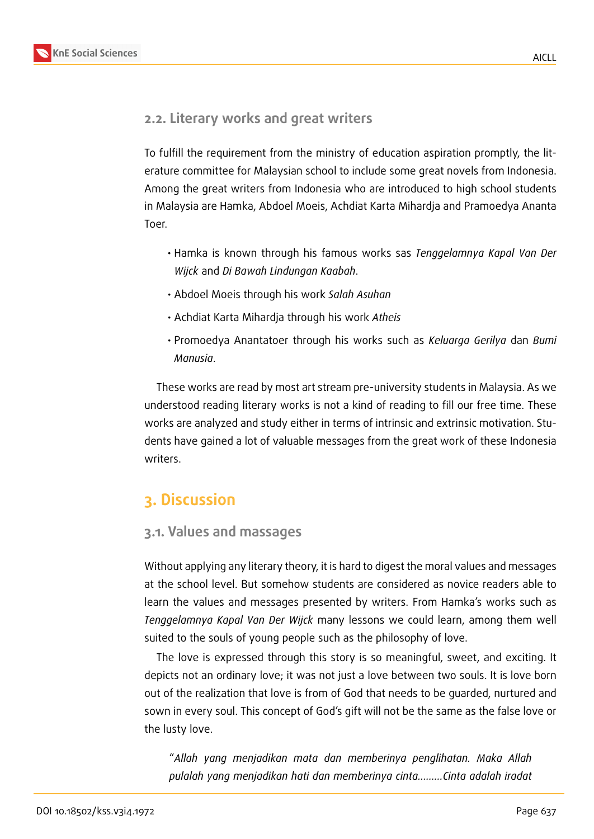### **2.2. Literary works and great writers**

To fulfill the requirement from the ministry of education aspiration promptly, the literature committee for Malaysian school to include some great novels from Indonesia. Among the great writers from Indonesia who are introduced to high school students in Malaysia are Hamka, Abdoel Moeis, Achdiat Karta Mihardja and Pramoedya Ananta Toer.

- Hamka is known through his famous works sas *Tenggelamnya Kapal Van Der Wijck* and *Di Bawah Lindungan Kaabah*.
- Abdoel Moeis through his work *Salah Asuhan*
- Achdiat Karta Mihardja through his work *Atheis*
- Promoedya Anantatoer through his works such as *Keluarga Gerilya* dan *Bumi Manusia*.

These works are read by most art stream pre-university students in Malaysia. As we understood reading literary works is not a kind of reading to fill our free time. These works are analyzed and study either in terms of intrinsic and extrinsic motivation. Students have gained a lot of valuable messages from the great work of these Indonesia writers.

## **3. Discussion**

### **3.1. Values and massages**

Without applying any literary theory, it is hard to digest the moral values and messages at the school level. But somehow students are considered as novice readers able to learn the values and messages presented by writers. From Hamka's works such as *Tenggelamnya Kapal Van Der Wijck* many lessons we could learn, among them well suited to the souls of young people such as the philosophy of love.

The love is expressed through this story is so meaningful, sweet, and exciting. It depicts not an ordinary love; it was not just a love between two souls. It is love born out of the realization that love is from of God that needs to be guarded, nurtured and sown in every soul. This concept of God's gift will not be the same as the false love or the lusty love.

"*Allah yang menjadikan mata dan memberinya penglihatan. Maka Allah pulalah yang menjadikan hati dan memberinya cinta………Cinta adalah iradat*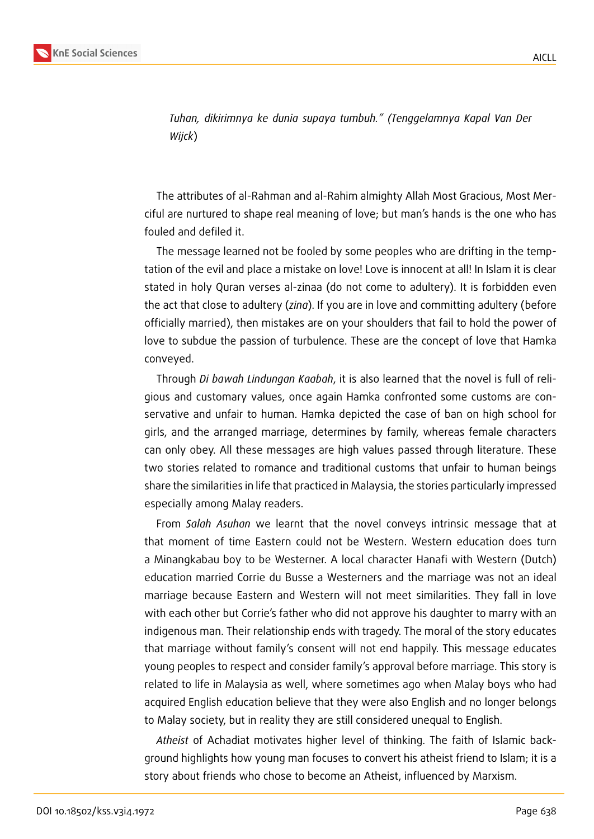

*Tuhan, dikirimnya ke dunia supaya tumbuh." (Tenggelamnya Kapal Van Der Wijck*)

The attributes of al-Rahman and al-Rahim almighty Allah Most Gracious, Most Merciful are nurtured to shape real meaning of love; but man's hands is the one who has fouled and defiled it.

The message learned not be fooled by some peoples who are drifting in the temptation of the evil and place a mistake on love! Love is innocent at all! In Islam it is clear stated in holy Quran verses al-zinaa (do not come to adultery). It is forbidden even the act that close to adultery (*zina*). If you are in love and committing adultery (before officially married), then mistakes are on your shoulders that fail to hold the power of love to subdue the passion of turbulence. These are the concept of love that Hamka conveyed.

Through *Di bawah Lindungan Kaabah*, it is also learned that the novel is full of religious and customary values, once again Hamka confronted some customs are conservative and unfair to human. Hamka depicted the case of ban on high school for girls, and the arranged marriage, determines by family, whereas female characters can only obey. All these messages are high values passed through literature. These two stories related to romance and traditional customs that unfair to human beings share the similarities in life that practiced in Malaysia, the stories particularly impressed especially among Malay readers.

From *Salah Asuhan* we learnt that the novel conveys intrinsic message that at that moment of time Eastern could not be Western. Western education does turn a Minangkabau boy to be Westerner. A local character Hanafi with Western (Dutch) education married Corrie du Busse a Westerners and the marriage was not an ideal marriage because Eastern and Western will not meet similarities. They fall in love with each other but Corrie's father who did not approve his daughter to marry with an indigenous man. Their relationship ends with tragedy. The moral of the story educates that marriage without family's consent will not end happily. This message educates young peoples to respect and consider family's approval before marriage. This story is related to life in Malaysia as well, where sometimes ago when Malay boys who had acquired English education believe that they were also English and no longer belongs to Malay society, but in reality they are still considered unequal to English.

*Atheist* of Achadiat motivates higher level of thinking. The faith of Islamic background highlights how young man focuses to convert his atheist friend to Islam; it is a story about friends who chose to become an Atheist, influenced by Marxism.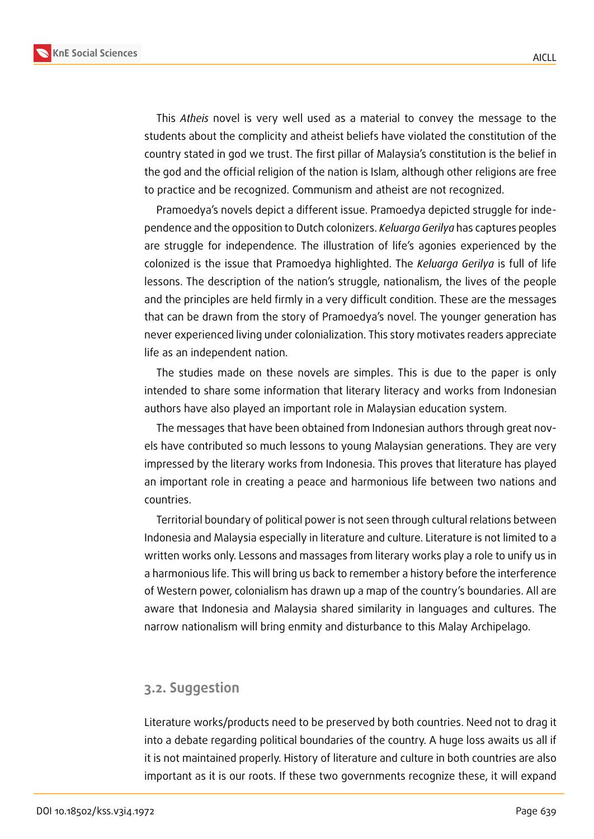

This *Atheis* novel is very well used as a material to convey the message to the students about the complicity and atheist beliefs have violated the constitution of the country stated in god we trust. The first pillar of Malaysia's constitution is the belief in the god and the official religion of the nation is Islam, although other religions are free to practice and be recognized. Communism and atheist are not recognized.

Pramoedya's novels depict a different issue. Pramoedya depicted struggle for independence and the opposition to Dutch colonizers. *Keluarga Gerilya* has captures peoples are struggle for independence. The illustration of life's agonies experienced by the colonized is the issue that Pramoedya highlighted. The *Keluarga Gerilya* is full of life lessons. The description of the nation's struggle, nationalism, the lives of the people and the principles are held firmly in a very difficult condition. These are the messages that can be drawn from the story of Pramoedya's novel. The younger generation has never experienced living under colonialization. This story motivates readers appreciate life as an independent nation.

The studies made on these novels are simples. This is due to the paper is only intended to share some information that literary literacy and works from Indonesian authors have also played an important role in Malaysian education system.

The messages that have been obtained from Indonesian authors through great novels have contributed so much lessons to young Malaysian generations. They are very impressed by the literary works from Indonesia. This proves that literature has played an important role in creating a peace and harmonious life between two nations and countries.

Territorial boundary of political power is not seen through cultural relations between Indonesia and Malaysia especially in literature and culture. Literature is not limited to a written works only. Lessons and massages from literary works play a role to unify us in a harmonious life. This will bring us back to remember a history before the interference of Western power, colonialism has drawn up a map of the country's boundaries. All are aware that Indonesia and Malaysia shared similarity in languages and cultures. The narrow nationalism will bring enmity and disturbance to this Malay Archipelago.

### **3.2. Suggestion**

Literature works/products need to be preserved by both countries. Need not to drag it into a debate regarding political boundaries of the country. A huge loss awaits us all if it is not maintained properly. History of literature and culture in both countries are also important as it is our roots. If these two governments recognize these, it will expand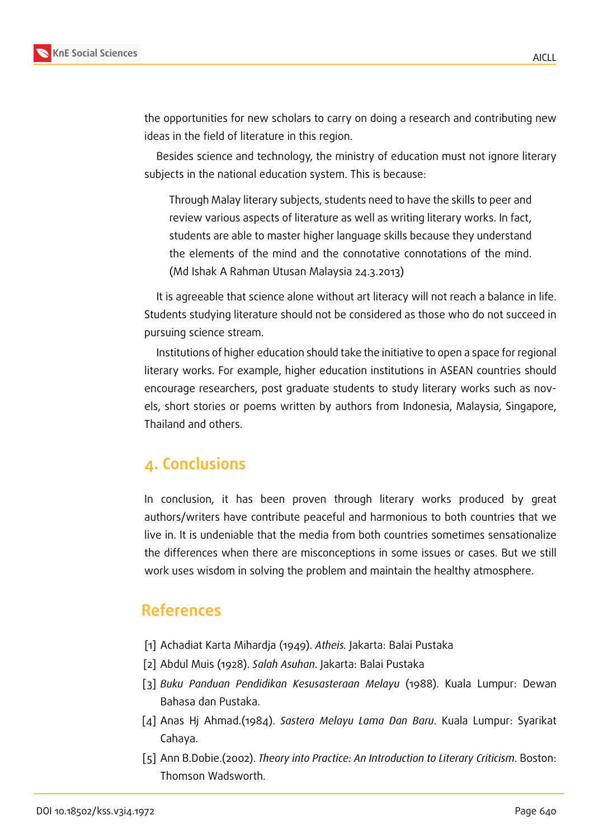

the opportunities for new scholars to carry on doing a research and contributing new ideas in the field of literature in this region.

Besides science and technology, the ministry of education must not ignore literary subjects in the national education system. This is because:

Through Malay literary subjects, students need to have the skills to peer and review various aspects of literature as well as writing literary works. In fact, students are able to master higher language skills because they understand the elements of the mind and the connotative connotations of the mind. (Md Ishak A Rahman Utusan Malaysia 24.3.2013)

It is agreeable that science alone without art literacy will not reach a balance in life. Students studying literature should not be considered as those who do not succeed in pursuing science stream.

Institutions of higher education should take the initiative to open a space for regional literary works. For example, higher education institutions in ASEAN countries should encourage researchers, post graduate students to study literary works such as novels, short stories or poems written by authors from Indonesia, Malaysia, Singapore, Thailand and others.

### **4. Conclusions**

In conclusion, it has been proven through literary works produced by great authors/writers have contribute peaceful and harmonious to both countries that we live in. It is undeniable that the media from both countries sometimes sensationalize the differences when there are misconceptions in some issues or cases. But we still work uses wisdom in solving the problem and maintain the healthy atmosphere.

### **References**

- [1] Achadiat Karta Mihardja (1949). *Atheis.* Jakarta: Balai Pustaka
- [2] Abdul Muis (1928). *Salah Asuhan*. Jakarta: Balai Pustaka
- [3] *Buku Panduan Pendidikan Kesusasteraan Melayu* (1988). Kuala Lumpur: Dewan Bahasa dan Pustaka.
- [4] Anas Hj Ahmad.(1984). *Sastera Melayu Lama Dan Baru*. Kuala Lumpur: Syarikat Cahaya.
- [5] Ann B.Dobie.(2002). *Theory into Practice: An Introduction to Literary Criticism*. Boston: Thomson Wadsworth.